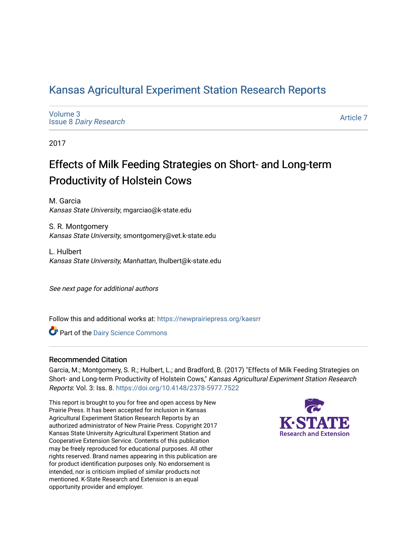## [Kansas Agricultural Experiment Station Research Reports](https://newprairiepress.org/kaesrr)

[Volume 3](https://newprairiepress.org/kaesrr/vol3) Issue 8 [Dairy Research](https://newprairiepress.org/kaesrr/vol3/iss8) 

[Article 7](https://newprairiepress.org/kaesrr/vol3/iss8/7) 

2017

## Effects of Milk Feeding Strategies on Short- and Long-term Productivity of Holstein Cows

M. Garcia Kansas State University, mgarciao@k-state.edu

S. R. Montgomery Kansas State University, smontgomery@vet.k-state.edu

L. Hulbert Kansas State University, Manhattan, lhulbert@k-state.edu

See next page for additional authors

Follow this and additional works at: [https://newprairiepress.org/kaesrr](https://newprairiepress.org/kaesrr?utm_source=newprairiepress.org%2Fkaesrr%2Fvol3%2Fiss8%2F7&utm_medium=PDF&utm_campaign=PDFCoverPages) 

Part of the [Dairy Science Commons](http://network.bepress.com/hgg/discipline/79?utm_source=newprairiepress.org%2Fkaesrr%2Fvol3%2Fiss8%2F7&utm_medium=PDF&utm_campaign=PDFCoverPages) 

#### Recommended Citation

Garcia, M.; Montgomery, S. R.; Hulbert, L.; and Bradford, B. (2017) "Effects of Milk Feeding Strategies on Short- and Long-term Productivity of Holstein Cows," Kansas Agricultural Experiment Station Research Reports: Vol. 3: Iss. 8.<https://doi.org/10.4148/2378-5977.7522>

This report is brought to you for free and open access by New Prairie Press. It has been accepted for inclusion in Kansas Agricultural Experiment Station Research Reports by an authorized administrator of New Prairie Press. Copyright 2017 Kansas State University Agricultural Experiment Station and Cooperative Extension Service. Contents of this publication may be freely reproduced for educational purposes. All other rights reserved. Brand names appearing in this publication are for product identification purposes only. No endorsement is intended, nor is criticism implied of similar products not mentioned. K-State Research and Extension is an equal opportunity provider and employer.

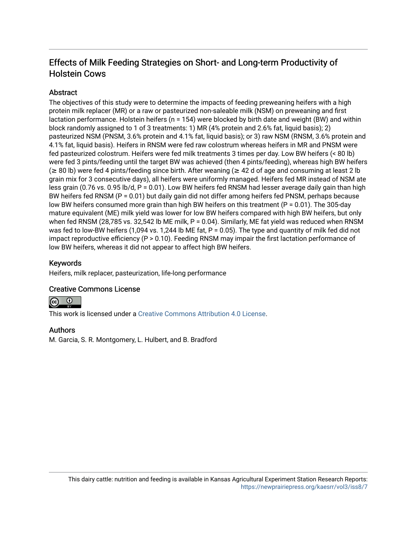## Effects of Milk Feeding Strategies on Short- and Long-term Productivity of Holstein Cows

### **Abstract**

The objectives of this study were to determine the impacts of feeding preweaning heifers with a high protein milk replacer (MR) or a raw or pasteurized non-saleable milk (NSM) on preweaning and first lactation performance. Holstein heifers (n = 154) were blocked by birth date and weight (BW) and within block randomly assigned to 1 of 3 treatments: 1) MR (4% protein and 2.6% fat, liquid basis); 2) pasteurized NSM (PNSM, 3.6% protein and 4.1% fat, liquid basis); or 3) raw NSM (RNSM, 3.6% protein and 4.1% fat, liquid basis). Heifers in RNSM were fed raw colostrum whereas heifers in MR and PNSM were fed pasteurized colostrum. Heifers were fed milk treatments 3 times per day. Low BW heifers (< 80 lb) were fed 3 pints/feeding until the target BW was achieved (then 4 pints/feeding), whereas high BW heifers (≥ 80 lb) were fed 4 pints/feeding since birth. After weaning (≥ 42 d of age and consuming at least 2 lb grain mix for 3 consecutive days), all heifers were uniformly managed. Heifers fed MR instead of NSM ate less grain (0.76 vs. 0.95 lb/d, P = 0.01). Low BW heifers fed RNSM had lesser average daily gain than high BW heifers fed RNSM (P = 0.01) but daily gain did not differ among heifers fed PNSM, perhaps because low BW heifers consumed more grain than high BW heifers on this treatment (P = 0.01). The 305-day mature equivalent (ME) milk yield was lower for low BW heifers compared with high BW heifers, but only when fed RNSM (28,785 vs. 32,542 lb ME milk, P = 0.04). Similarly, ME fat yield was reduced when RNSM was fed to low-BW heifers (1,094 vs. 1,244 lb ME fat, P = 0.05). The type and quantity of milk fed did not impact reproductive efficiency (P > 0.10). Feeding RNSM may impair the first lactation performance of low BW heifers, whereas it did not appear to affect high BW heifers.

#### Keywords

Heifers, milk replacer, pasteurization, life-long performance

### Creative Commons License



This work is licensed under a [Creative Commons Attribution 4.0 License](https://creativecommons.org/licenses/by/4.0/).

#### Authors

M. Garcia, S. R. Montgomery, L. Hulbert, and B. Bradford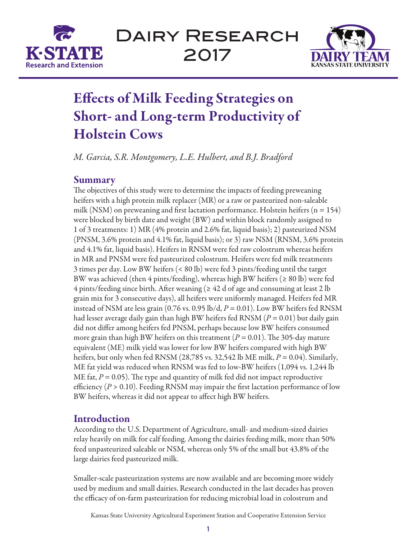

Dairy Research 2017



# Effects of Milk Feeding Strategies on Short- and Long-term Productivity of Holstein Cows

*M. Garcia, S.R. Montgomery, L.E. Hulbert, and B.J. Bradford*

## Summary

The objectives of this study were to determine the impacts of feeding preweaning heifers with a high protein milk replacer (MR) or a raw or pasteurized non-saleable milk (NSM) on preweaning and first lactation performance. Holstein heifers ( $n = 154$ ) were blocked by birth date and weight (BW) and within block randomly assigned to 1 of 3 treatments: 1) MR (4% protein and 2.6% fat, liquid basis); 2) pasteurized NSM (PNSM, 3.6% protein and 4.1% fat, liquid basis); or 3) raw NSM (RNSM, 3.6% protein and 4.1% fat, liquid basis). Heifers in RNSM were fed raw colostrum whereas heifers in MR and PNSM were fed pasteurized colostrum. Heifers were fed milk treatments 3 times per day. Low BW heifers (< 80 lb) were fed 3 pints/feeding until the target BW was achieved (then 4 pints/feeding), whereas high BW heifers ( $\geq 80$  lb) were fed  $4$  pints/feeding since birth. After weaning ( $\geq 42$  d of age and consuming at least 2 lb grain mix for 3 consecutive days), all heifers were uniformly managed. Heifers fed MR instead of NSM ate less grain (0.76 vs. 0.95 lb/d, *P* = 0.01). Low BW heifers fed RNSM had lesser average daily gain than high BW heifers fed RNSM (*P* = 0.01) but daily gain did not differ among heifers fed PNSM, perhaps because low BW heifers consumed more grain than high BW heifers on this treatment ( $P = 0.01$ ). The 305-day mature equivalent (ME) milk yield was lower for low BW heifers compared with high BW heifers, but only when fed RNSM (28,785 vs. 32,542 lb ME milk,  $P = 0.04$ ). Similarly, ME fat yield was reduced when RNSM was fed to low-BW heifers (1,094 vs. 1,244 lb ME fat,  $P = 0.05$ ). The type and quantity of milk fed did not impact reproductive efficiency  $(P > 0.10)$ . Feeding RNSM may impair the first lactation performance of low BW heifers, whereas it did not appear to affect high BW heifers.

## **Introduction**

According to the U.S. Department of Agriculture, small- and medium-sized dairies relay heavily on milk for calf feeding. Among the dairies feeding milk, more than 50% feed unpasteurized saleable or NSM, whereas only 5% of the small but 43.8% of the large dairies feed pasteurized milk.

Smaller-scale pasteurization systems are now available and are becoming more widely used by medium and small dairies. Research conducted in the last decades has proven the efficacy of on-farm pasteurization for reducing microbial load in colostrum and

Kansas State University Agricultural Experiment Station and Cooperative Extension Service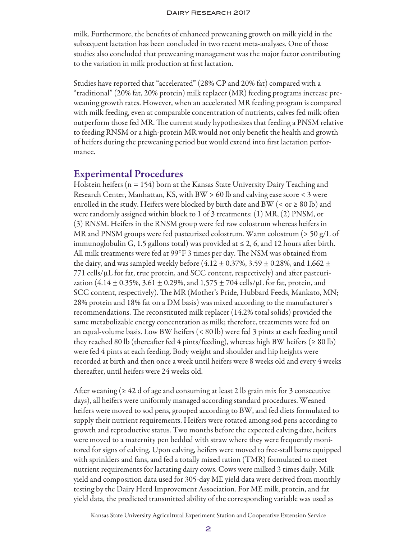#### Dairy Research 2017

milk. Furthermore, the benefits of enhanced preweaning growth on milk yield in the subsequent lactation has been concluded in two recent meta-analyses. One of those studies also concluded that preweaning management was the major factor contributing to the variation in milk production at first lactation.

Studies have reported that "accelerated" (28% CP and 20% fat) compared with a "traditional" (20% fat, 20% protein) milk replacer (MR) feeding programs increase preweaning growth rates. However, when an accelerated MR feeding program is compared with milk feeding, even at comparable concentration of nutrients, calves fed milk often outperform those fed MR. The current study hypothesizes that feeding a PNSM relative to feeding RNSM or a high-protein MR would not only benefit the health and growth of heifers during the preweaning period but would extend into first lactation performance.

#### Experimental Procedures

Holstein heifers (n = 154) born at the Kansas State University Dairy Teaching and Research Center, Manhattan, KS, with BW > 60 lb and calving ease score < 3 were enrolled in the study. Heifers were blocked by birth date and BW (< or  $\geq 80$  lb) and were randomly assigned within block to 1 of 3 treatments: (1) MR, (2) PNSM, or (3) RNSM. Heifers in the RNSM group were fed raw colostrum whereas heifers in MR and PNSM groups were fed pasteurized colostrum. Warm colostrum (> 50 g/L of immunoglobulin G, 1.5 gallons total) was provided at  $\leq 2$ , 6, and 12 hours after birth. All milk treatments were fed at 99°F 3 times per day. The NSM was obtained from the dairy, and was sampled weekly before (4.12  $\pm$  0.37%, 3.59  $\pm$  0.28%, and 1,662  $\pm$ 771 cells/µL for fat, true protein, and SCC content, respectively) and after pasteurization (4.14  $\pm$  0.35%, 3.61  $\pm$  0.29%, and 1,575  $\pm$  704 cells/ $\mu$ L for fat, protein, and SCC content, respectively). The MR (Mother's Pride, Hubbard Feeds, Mankato, MN; 28% protein and 18% fat on a DM basis) was mixed according to the manufacturer's recommendations. The reconstituted milk replacer (14.2% total solids) provided the same metabolizable energy concentration as milk; therefore, treatments were fed on an equal-volume basis. Low BW heifers (< 80 lb) were fed 3 pints at each feeding until they reached 80 lb (thereafter fed 4 pints/feeding), whereas high BW heifers ( $\geq 80$  lb) were fed 4 pints at each feeding. Body weight and shoulder and hip heights were recorded at birth and then once a week until heifers were 8 weeks old and every 4 weeks thereafter, until heifers were 24 weeks old.

After weaning ( $\geq 42$  d of age and consuming at least 2 lb grain mix for 3 consecutive days), all heifers were uniformly managed according standard procedures. Weaned heifers were moved to sod pens, grouped according to BW, and fed diets formulated to supply their nutrient requirements. Heifers were rotated among sod pens according to growth and reproductive status. Two months before the expected calving date, heifers were moved to a maternity pen bedded with straw where they were frequently monitored for signs of calving. Upon calving, heifers were moved to free-stall barns equipped with sprinklers and fans, and fed a totally mixed ration (TMR) formulated to meet nutrient requirements for lactating dairy cows. Cows were milked 3 times daily. Milk yield and composition data used for 305-day ME yield data were derived from monthly testing by the Dairy Herd Improvement Association. For ME milk, protein, and fat yield data, the predicted transmitted ability of the corresponding variable was used as

Kansas State University Agricultural Experiment Station and Cooperative Extension Service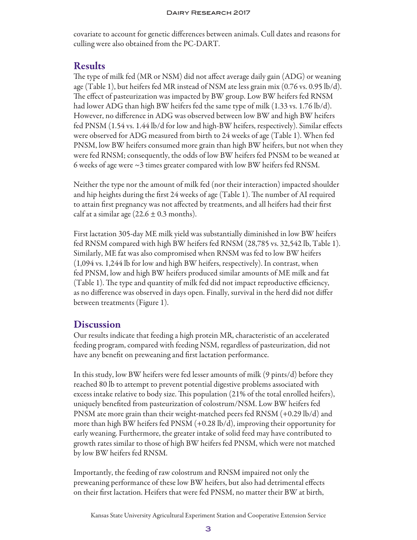covariate to account for genetic differences between animals. Cull dates and reasons for culling were also obtained from the PC-DART.

## Results

The type of milk fed (MR or NSM) did not affect average daily gain (ADG) or weaning age (Table 1), but heifers fed MR instead of NSM ate less grain mix (0.76 vs. 0.95 lb/d). The effect of pasteurization was impacted by BW group. Low BW heifers fed RNSM had lower ADG than high BW heifers fed the same type of milk (1.33 vs. 1.76 lb/d). However, no difference in ADG was observed between low BW and high BW heifers fed PNSM (1.54 vs. 1.44 lb/d for low and high-BW heifers, respectively). Similar effects were observed for ADG measured from birth to 24 weeks of age (Table 1). When fed PNSM, low BW heifers consumed more grain than high BW heifers, but not when they were fed RNSM; consequently, the odds of low BW heifers fed PNSM to be weaned at 6 weeks of age were  $\sim$ 3 times greater compared with low BW heifers fed RNSM.

Neither the type nor the amount of milk fed (nor their interaction) impacted shoulder and hip heights during the first 24 weeks of age (Table 1). The number of AI required to attain first pregnancy was not affected by treatments, and all heifers had their first calf at a similar age  $(22.6 \pm 0.3 \text{ months}).$ 

First lactation 305-day ME milk yield was substantially diminished in low BW heifers fed RNSM compared with high BW heifers fed RNSM (28,785 vs. 32,542 lb, Table 1). Similarly, ME fat was also compromised when RNSM was fed to low BW heifers (1,094 vs. 1,244 lb for low and high BW heifers, respectively). In contrast, when fed PNSM, low and high BW heifers produced similar amounts of ME milk and fat (Table 1). The type and quantity of milk fed did not impact reproductive efficiency, as no difference was observed in days open. Finally, survival in the herd did not differ between treatments (Figure 1).

## **Discussion**

Our results indicate that feeding a high protein MR, characteristic of an accelerated feeding program, compared with feeding NSM, regardless of pasteurization, did not have any benefit on preweaning and first lactation performance.

In this study, low BW heifers were fed lesser amounts of milk (9 pints/d) before they reached 80 lb to attempt to prevent potential digestive problems associated with excess intake relative to body size. This population (21% of the total enrolled heifers), uniquely benefited from pasteurization of colostrum/NSM. Low BW heifers fed PNSM ate more grain than their weight-matched peers fed RNSM (+0.29 lb/d) and more than high BW heifers fed PNSM (+0.28 lb/d), improving their opportunity for early weaning. Furthermore, the greater intake of solid feed may have contributed to growth rates similar to those of high BW heifers fed PNSM, which were not matched by low BW heifers fed RNSM.

Importantly, the feeding of raw colostrum and RNSM impaired not only the preweaning performance of these low BW heifers, but also had detrimental effects on their first lactation. Heifers that were fed PNSM, no matter their BW at birth,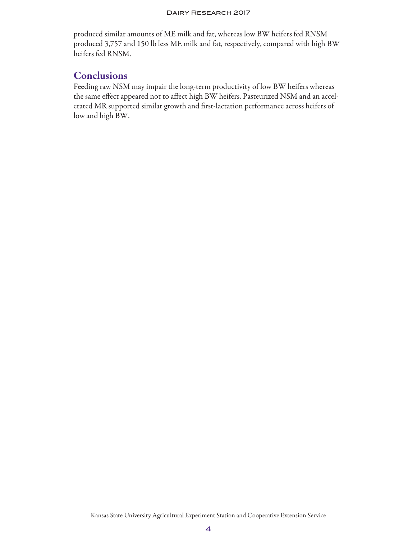#### Dairy Research 2017

produced similar amounts of ME milk and fat, whereas low BW heifers fed RNSM produced 3,757 and 150 lb less ME milk and fat, respectively, compared with high BW heifers fed RNSM.

## **Conclusions**

Feeding raw NSM may impair the long-term productivity of low BW heifers whereas the same effect appeared not to affect high BW heifers. Pasteurized NSM and an accelerated MR supported similar growth and first-lactation performance across heifers of low and high BW.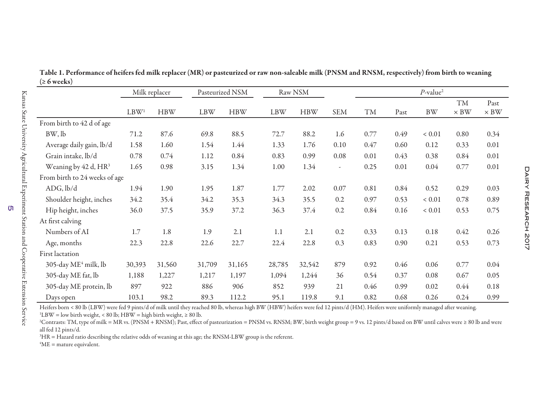|                                  | Milk replacer    |            | Pasteurized NSM |            | Raw NSM    |            |                          | $P$ -value <sup>2</sup> |      |            |                          |                     |
|----------------------------------|------------------|------------|-----------------|------------|------------|------------|--------------------------|-------------------------|------|------------|--------------------------|---------------------|
|                                  | LBW <sup>1</sup> | <b>HBW</b> | <b>LBW</b>      | <b>HBW</b> | <b>LBW</b> | <b>HBW</b> | <b>SEM</b>               | <b>TM</b>               | Past | <b>BW</b>  | <b>TM</b><br>$\times$ BW | Past<br>$\times$ BW |
| From birth to 42 d of age        |                  |            |                 |            |            |            |                          |                         |      |            |                          |                     |
| BW, lb                           | 71.2             | 87.6       | 69.8            | 88.5       | 72.7       | 88.2       | 1.6                      | 0.77                    | 0.49 | ${}< 0.01$ | 0.80                     | 0.34                |
| Average daily gain, lb/d         | 1.58             | 1.60       | 1.54            | 1.44       | 1.33       | 1.76       | 0.10                     | 0.47                    | 0.60 | 0.12       | 0.33                     | 0.01                |
| Grain intake, lb/d               | 0.78             | 0.74       | 1.12            | 0.84       | 0.83       | 0.99       | 0.08                     | 0.01                    | 0.43 | 0.38       | 0.84                     | 0.01                |
| Weaning by 42 d, HR <sup>3</sup> | 1.65             | 0.98       | 3.15            | 1.34       | 1.00       | 1.34       | $\overline{\phantom{a}}$ | 0.25                    | 0.01 | 0.04       | 0.77                     | 0.01                |
| From birth to 24 weeks of age    |                  |            |                 |            |            |            |                          |                         |      |            |                          |                     |
| ADG, lb/d                        | 1.94             | 1.90       | 1.95            | 1.87       | 1.77       | 2.02       | 0.07                     | 0.81                    | 0.84 | 0.52       | 0.29                     | 0.03                |
| Shoulder height, inches          | 34.2             | 35.4       | 34.2            | 35.3       | 34.3       | 35.5       | 0.2                      | 0.97                    | 0.53 | ${}< 0.01$ | 0.78                     | 0.89                |
| Hip height, inches               | 36.0             | 37.5       | 35.9            | 37.2       | 36.3       | 37.4       | 0.2                      | 0.84                    | 0.16 | ${}< 0.01$ | 0.53                     | 0.75                |
| At first calving                 |                  |            |                 |            |            |            |                          |                         |      |            |                          |                     |
| Numbers of AI                    | 1.7              | 1.8        | 1.9             | 2.1        | 1.1        | 2.1        | 0.2                      | 0.33                    | 0.13 | 0.18       | 0.42                     | 0.26                |
| Age, months                      | 22.3             | 22.8       | 22.6            | 22.7       | 22.4       | 22.8       | 0.3                      | 0.83                    | 0.90 | 0.21       | 0.53                     | 0.73                |
| First lactation                  |                  |            |                 |            |            |            |                          |                         |      |            |                          |                     |
| 305-day ME <sup>4</sup> milk, lb | 30,393           | 31,560     | 31,709          | 31,165     | 28,785     | 32,542     | 879                      | 0.92                    | 0.46 | 0.06       | 0.77                     | 0.04                |
| 305-day ME fat, lb               | 1,188            | 1,227      | 1,217           | 1,197      | 1,094      | 1,244      | 36                       | 0.54                    | 0.37 | 0.08       | 0.67                     | 0.05                |
| 305-day ME protein, lb           | 897              | 922        | 886             | 906        | 852        | 939        | 21                       | 0.46                    | 0.99 | 0.02       | 0.44                     | 0.18                |
| Days open                        | 103.1            | 98.2       | 89.3            | 112.2      | 95.1       | 119.8      | 9.1                      | 0.82                    | 0.68 | 0.26       | 0.24                     | 0.99                |

Table 1. Performance of heifers fed milk replacer (MR) or pasteurized or raw non-saleable milk (PNSM and RNSM, respectively) from birth to weaning  $(≥ 6 weeks)$ 

Heifers born < 80 lb (LBW) were fed 9 pints/d of milk until they reached 80 lb, whereas high BW (HBW) heifers were fed 12 pints/d (HM). Heifers were uniformly managed after weaning.

<sup>1</sup>LBW = low birth weight, < 80 lb; HBW = high birth weight,  $\geq 80$  lb.

2Contrasts: TM, type of milk = MR vs. (PNSM + RNSM); Past, effect of pasteurization = PNSM vs. RNSM; BW, birth weight group = 9 vs. 12 pints/d based on BW until calves were ≥ 80 lb and were all fed 12 pints/d.

<sup>3</sup>HR = Hazard ratio describing the relative odds of weaning at this age; the RNSM-LBW group is the referent.

 ${}^{4}$ ME = mature equivalent.

ហ